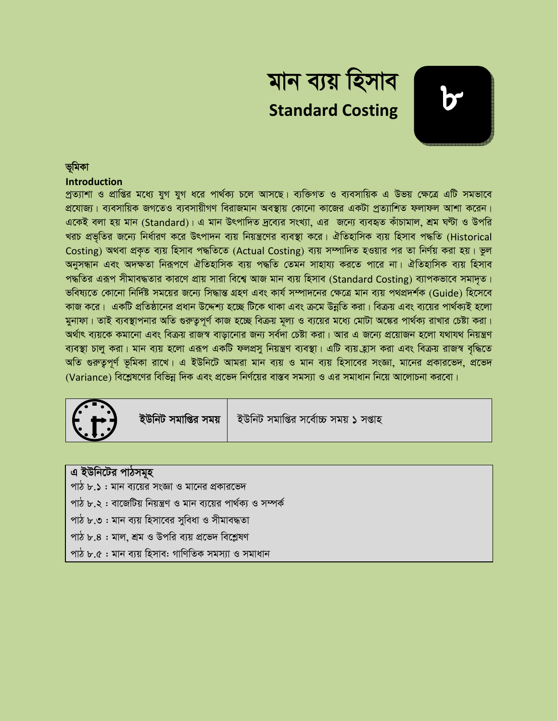

#### ভমিকা

#### **Introduction**

প্রত্যাশা ও প্রাপ্তির মধ্যে যুগ যুগ ধরে পার্থক্য চলে আসছে। ব্যক্তিগত ও ব্যবসায়িক এ উভয় ক্ষেত্রে এটি সমভাবে প্রযোজ্য। ব্যবসায়িক জগতেও ব্যবসায়ীগণ বিরাজমান অবস্থায় কোনো কাজের একটা প্রত্যাশিত ফলাফল আশা করেন। একেই বলা হয় মান (Standard)। এ মান উৎপাদিত দ্রব্যের সংখ্যা, এর জন্যে ব্যবহৃত কাঁচামাল, শ্রম ঘণ্টা ও উপরি খরচ প্রভৃতির জন্যে নির্ধারণ করে উৎপাদন ব্যয় নিয়ন্ত্রণের ব্যবস্থা করে। ঐতিহাসিক ব্যয় হিসাব পদ্ধতি (Historical Costing) অথবা প্রকৃত ব্যয় হিসাব পদ্ধতিতে (Actual Costing) ব্যয় সম্পাদিত হওয়ার পর তা নির্ণয় করা হয়। ভুল অনুসন্ধান এবং অদক্ষতা নিরূপণে ঐতিহাসিক ব্যয় পদ্ধতি তেমন সাহায্য করতে পারে না। ঐতিহাসিক ব্যয় হিসাব পদ্ধতির এরূপ সীমাবদ্ধতার কারণে প্রায় সারা বিশ্বে আজ মান ব্যয় হিসাব (Standard Costing) ব্যাপকভাবে সমাদৃত। ভবিষ্যতে কোনো নির্দিষ্ট সময়ের জন্যে সিদ্ধান্ত গ্রহণ এবং কার্য সম্পাদনের ক্ষেত্রে মান ব্যয় পথপ্রদর্শক (Guide) হিসেবে কাজ করে। একটি প্রতিষ্ঠানের প্রধান উদ্দেশ্য হচ্ছে টিকে থাকা এবং ক্রমে উন্নতি করা। বিক্রয় এবং ব্যয়ের পার্থক্যই হলো মুনাফা। তাই ব্যবস্থাপনার অতি গুরুতুপূর্ণ কাজ হচ্ছে বিক্রয় মূল্য ও ব্যয়ের মধ্যে মোটা অঙ্কের পার্থক্য রাখার চেষ্টা করা। অর্থাৎ ব্যয়কে কমানো এবং বিক্রয় রাজস্ব বাড়ানোর জন্য সর্বদা চেষ্টা করা। আর এ জন্যে প্রয়োজন হলো যথাযথ নিয়ন্ত্রণ ব্যবস্থা চালু করা। মান ব্যয় হলো এরূপ একটি ফলপ্রসু নিয়ন্ত্রণ ব্যবস্থা। এটি ব্যয় হ্রাস করা এবং বিক্রয় রাজস্ব বৃদ্ধিতে অতি গুরুতুপূর্ণ ভূমিকা রাখে। এ ইউনিটে আমরা মান ব্যয় ও মান ব্যয় হিসাবের সংজ্ঞা, মানের প্রকারভেদ, প্রভেদ (Variance) বিশ্লেষণের বিভিন্ন দিক এবং প্রভেদ নির্ণয়ের বাস্তব সমস্যা ও এর সমাধান নিয়ে আলোচনা করবো।



ইউনিট সমাপ্তির সময়

ইউনিট সমাপ্তির সর্বোচ্চ সময় ১ সপ্তাহ

| এ ইউনিটের পাঠসমূহ                                              |  |
|----------------------------------------------------------------|--|
| পাঠ ৮.১ : মান ব্যয়ের সংজ্ঞা ও মানের প্রকারভেদ                 |  |
| পাঠ ৮.২ : বাজেটিয় নিয়ন্ত্রণ ও মান ব্যয়ের পার্থক্য ও সম্পর্ক |  |
| পাঠ ৮.৩ : মান ব্যয় হিসাবের সুবিধা ও সীমাবদ্ধতা                |  |
| পাঠ ৮.৪ : মাল, শ্রম ও উপরি ব্যয় প্রভেদ বিশ্লেষণ               |  |
| পাঠ ৮.৫ : মান ব্যয় হিসাব: গাণিতিক সমস্যা ও সমাধান             |  |
|                                                                |  |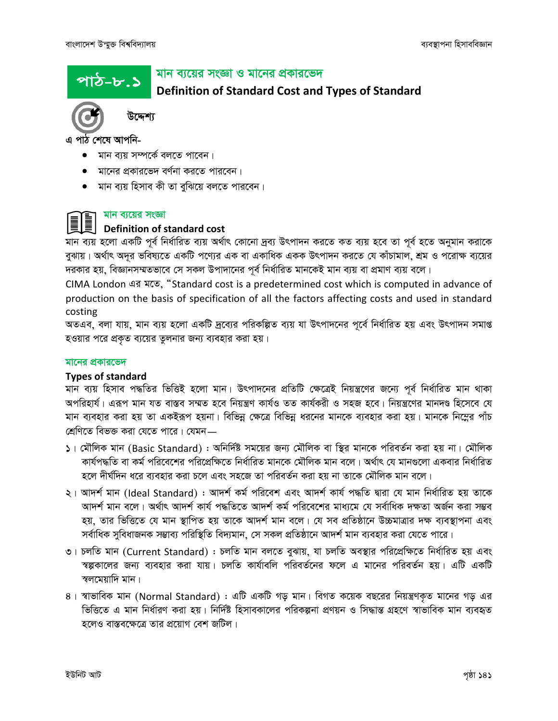পাঠ–৮.১

#### মান ব্যয়ের সংজ্ঞা ও মানের প্রকারভেদ

**Definition of Standard Cost and Types of Standard** 



উদ্দেশ্য

এ পাঠ শেষে আপনি-

- মান ব্যয় সম্পৰ্কে বলতে পাবেন।
- মানের প্রকারভেদ বর্ণনা করতে পারবেন।
- $\bullet$  মান ব্যয় হিসাব কী তা বুঝিয়ে বলতে পারবেন।

#### মান ব্যয়ের সংজ্ঞা

# Definition of standard cost

মান ব্যয় হলো একটি পূর্ব নির্ধারিত ব্যয় অর্থাৎ কোনো দ্রব্য উৎপাদন করতে কত ব্যয় হবে তা পূর্ব হতে অনুমান করাকে বুঝায়। অর্থাৎ অদূর ভবিষ্যতে একটি পণ্যের এক বা একাধিক একক উৎপাদন করতে যে কাঁচামাল, শ্রম ও পরোক্ষ ব্যয়ের দরকার হয়, বিজ্ঞানসম্মতভাবে সে সকল উপাদানের পূর্ব নির্ধারিত মানকেই মান ব্যয় বা প্রমাণ ব্যয় বলে।

CIMA London এর মতে, "Standard cost is a predetermined cost which is computed in advance of production on the basis of specification of all the factors affecting costs and used in standard costing

অতএব, বলা যায়, মান ব্যয় হলো একটি দ্রব্যের পরিকল্পিত ব্যয় যা উৎপাদনের পূর্বে নির্ধারিত হয় এবং উৎপাদন সমাপ্ত হওয়ার পরে প্রকৃত ব্যয়ের তুলনার জন্য ব্যবহার করা হয়।

#### মানের প্রকারভেদ

#### **Types of standard**

মান ব্যয় হিসাব পদ্ধতির ভিত্তিই হলো মান। উৎপাদনের প্রতিটি ক্ষেত্রেই নিয়ন্ত্রণের জন্যে পূর্ব নির্ধারিত মান থাকা অপরিহার্য। এরূপ মান যত বাস্তব সম্মত হবে নিয়ন্ত্রণ কার্যও তত কার্যকরী ও সহজ হবে। নিয়ন্ত্রণের মানদণ্ড হিসেবে যে মান ব্যবহার করা হয় তা একইরূপ হয়না। বিভিন্ন ক্ষেত্রে বিভিন্ন ধরনের মানকে ব্যবহার করা হয়। মানকে নিম্নের পাঁচ শ্রেণিতে বিভক্ত করা যেতে পারে। যেমন—

- ১। মৌলিক মান (Basic Standard) : অনির্দিষ্ট সময়ের জন্য মৌলিক বা স্থির মানকে পরিবর্তন করা হয় না। মৌলিক কার্যপদ্ধতি বা কর্ম পরিবেশের পরিপ্রেক্ষিতে নির্ধারিত মানকে মৌলিক মান বলে। অর্থাৎ যে মানগুলো একবার নির্ধারিত হলে দীর্ঘদিন ধরে ব্যবহার করা চলে এবং সহজে তা পরিবর্তন করা হয় না তাকে মৌলিক মান বলে।
- ২। আদর্শ মান (Ideal Standard) : আদর্শ কর্ম পরিবেশ এবং আদর্শ কার্য পদ্ধতি দ্বারা যে মান নির্ধারিত হয় তাকে আদর্শ মান বলে। অর্থাৎ আদর্শ কার্য পদ্ধতিতে আদর্শ কর্ম পরিবেশের মাধ্যমে যে সর্বাধিক দক্ষতা অর্জন করা সম্ভব হয়, তার ভিত্তিতে যে মান স্থাপিত হয় তাকে আদর্শ মান বলে। যে সব প্রতিষ্ঠানে উচ্চমাত্রার দক্ষ ব্যবস্থাপনা এবং সর্বাধিক সুবিধাজনক সম্ভাব্য পরিস্থিতি বিদ্যমান, সে সকল প্রতিষ্ঠানে আদর্শ মান ব্যবহার করা যেতে পারে।
- ৩। চলতি মান (Current Standard) : চলতি মান বলতে বুঝায়, যা চলতি অবস্থার পরিপ্রেক্ষিতে নির্ধারিত হয় এবং স্বল্পকালের জন্য ব্যবহার করা যায়। চলতি কার্যাবলি পরিবর্তনের ফলে এ মানের পরিবর্তন হয়। এটি একটি স্বলমেয়াদি মান।
- ৪। স্বাভাবিক মান (Normal Standard) : এটি একটি গড় মান। বিগত কয়েক বছরের নিয়ন্ত্রণকৃত মানের গড় এর ভিত্তিতে এ মান নির্ধারণ করা হয়। নির্দিষ্ট হিসাবকালের পরিকল্পনা প্রণয়ন ও সিদ্ধান্ত গ্রহণে স্বাভাবিক মান ব্যবহৃত হলেও বাস্তবক্ষেত্রে তার প্রয়োগ বেশ জটিল।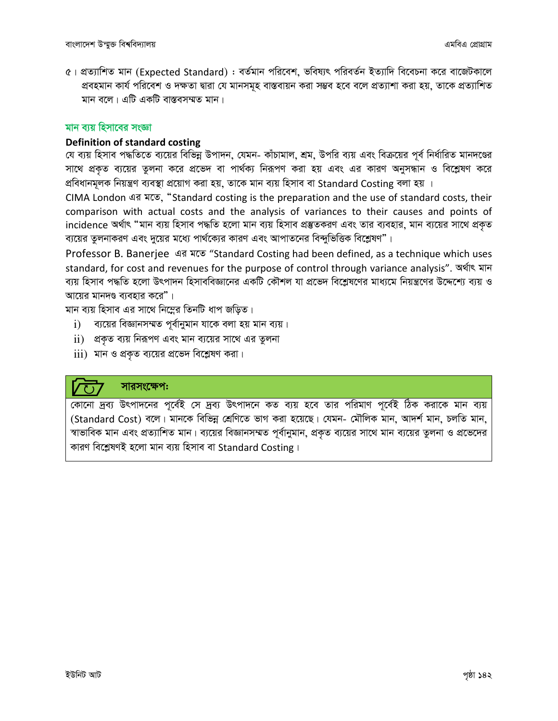৫। প্রত্যাশিত মান (Expected Standard) : বর্তমান পরিবেশ, ভবিষ্যৎ পরিবর্তন ইত্যাদি বিবেচনা করে বাজেটকালে প্রবহমান কার্য পরিবেশ ও দক্ষতা দ্বারা যে মানসমূহ বাস্তবায়ন করা সম্ভব হবে বলে প্রত্যাশা করা হয়, তাকে প্রত্যাশিত মান বলে। এটি একটি বাস্তবসম্মত মান।

#### মান বায় হিসাবের সংজ্ঞা

#### Definition of standard costing

যে ব্যয় হিসাব পদ্ধতিতে ব্যয়ের বিভিন্ন উপাদন, যেমন- কাঁচামাল, শ্রম, উপরি ব্যয় এবং বিক্রয়ের পূর্ব নির্ধারিত মানদণ্ডের সাথে প্রকৃত ব্যয়ের তুলনা করে প্রভেদ বা পার্থক্য নিরূপণ করা হয় এবং এর কারণ অনুসন্ধান ও বিশ্লেষণ করে প্ৰবিধানমূলক নিয়ন্ত্ৰণ ব্যবস্থা প্ৰয়োগ করা হয়, তাকে মান ব্যয় হিসাব বা Standard Costing বলা হয় ।

CIMA London এর মতে, "Standard costing is the preparation and the use of standard costs, their comparison with actual costs and the analysis of variances to their causes and points of incidence অৰ্থাৎ "মান ব্যয় হিসাব পদ্ধতি হলো মান ব্যয় হিসাব প্ৰস্তুতকরণ এবং তার ব্যবহার, মান ব্যয়ের সাথে প্রকৃত ব্যয়ের তুলনাকরণ এবং দুয়ের মধ্যে পার্থক্যের কারণ এবং আপাতনের বিন্দুভিত্তিক বিশ্লেষণ"।

Professor B. Banerjee 43 NTS "Standard Costing had been defined, as a technique which uses standard, for cost and revenues for the purpose of control through variance analysis". অৰ্থাৎ মান ব্যয় হিসাব পদ্ধতি হলো উৎপাদন হিসাববিজ্ঞানের একটি কৌশল যা প্রভেদ বিশ্লেষণের মাধ্যমে নিয়ন্ত্রণের উদ্দেশ্যে ব্যয় ও আয়ের মানদণ্ড ব্যবহার করে"।

মান ব্যয় হিসাব এর সাথে নিম্নের তিনটি ধাপ জড়িত।

- ব্যয়ের বিজ্ঞানসম্মত পূর্বানুমান যাকে বলা হয় মান ব্যয়।  $\mathbf{i}$
- $\,$ ii) প্রকৃত ব্যয় নিরূপণ এবং মান ব্যয়ের সাথে এর তুলনা
- $\overline{\textrm{iii)}}$  মান ও প্রকৃত ব্যয়ের প্রভেদ বিশ্লেষণ করা।

#### সারসংক্ষেপ:

কোনো দ্রব্য উৎপাদনের পূর্বেই সে দ্রব্য উৎপাদনে কত ব্যয় হবে তার পরিমাণ পূর্বেই ঠিক করাকে মান ব্যয় (Standard Cost) বলে। মানকে বিভিন্ন শ্রেণিতে ভাগ করা হয়েছে। যেমন- মৌলিক মান, আদর্শ মান, চলতি মান, স্বাভাবিক মান এবং প্রত্যাশিত মান। ব্যয়ের বিজ্ঞানসম্মত পূর্বানুমান, প্রকৃত ব্যয়ের সাথে মান ব্যয়ের তুলনা ও প্রভেদের কারণ বিশ্লেষণই হলো মান ব্যয় হিসাব বা Standard Costing।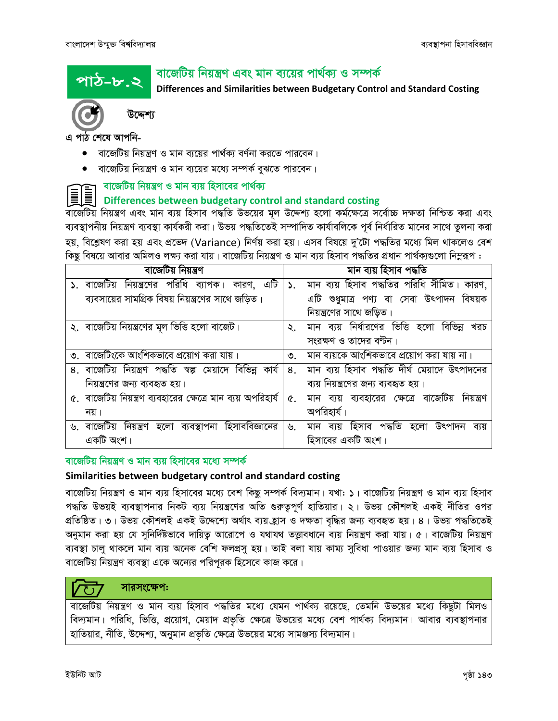পাঠ–৮.২

# বাজেটিয় নিয়ন্ত্রণ এবং মান ব্যয়ের পার্থক্য ও সম্পর্ক

Differences and Similarities between Budgetary Control and Standard Costing



উদ্দেশ্য

এ পাঠ শেষে আপনি-

- বাজেটিয় নিয়ন্ত্রণ ও মান ব্যয়ের পার্থক্য বর্ণনা করতে পারবেন।
- বাজেটিয় নিয়ন্ত্রণ ও মান ব্যয়ের মধ্যে সম্পর্ক বুঝতে পারবেন।

## । বাজেটিয় নিয়ন্ত্রণ ও মান ব্যয় হিসাবের পার্থক্য

## Differences between budgetary control and standard costing

বার্জেটিয় নিয়ন্ত্রণ এবং মান ব্যয় হিসাব পদ্ধতি উভয়ের মূল উদ্দেশ্য হলো কর্মক্ষেত্রে সর্বোচ্চ দক্ষতা নিশ্চিত করা এবং ব্যবস্থাপনীয় নিয়ন্ত্রণ ব্যবস্থা কার্যকরী করা। উভয় পদ্ধতিতেই সম্পাদিত কার্যাবলিকে পূর্ব নির্ধারিত মানের সাথে তুলনা করা হয়, বিশ্লেষণ করা হয় এবং প্রভেদ (Variance) নির্ণয় করা হয়। এসব বিষয়ে দু'টো পদ্ধতির মধ্যে মিল থাকলেও বেশ কিছু বিষয়ে আবার অমিলও লক্ষ্য করা যায়। বাজেটিয় নিয়ন্ত্রণ ও মান ব্যয় হিসাব পদ্ধতির প্রধান পার্থক্যগুলো নিমুরূপ :

| বাজেটিয় নিয়ন্ত্রণ                                            |                             | মান ব্যয় হিসাব পদ্ধতি                              |
|----------------------------------------------------------------|-----------------------------|-----------------------------------------------------|
| ১. বাজেটিয় নিয়ন্ত্রণের পরিধি ব্যাপক। কারণ, এটি               | $\mathcal{L}_{\mathcal{L}}$ | মান ব্যয় হিসাব পদ্ধতির পরিধি সীমিত। কারণ,          |
| ব্যবসায়ের সামগ্রিক বিষয় নিয়ন্ত্রণের সাথে জড়িত।             |                             | এটি শুধুমাত্র পণ্য বা সেবা উৎপাদন বিষয়ক            |
|                                                                |                             | নিয়ন্ত্রণের সাথে জড়িত।                            |
| ২. বাজেটিয় নিয়ন্ত্রণের মূল ভিত্তি হলো বাজেট।                 | $\mathcal{L}_{\mathcal{L}}$ | মান ব্যয় নির্ধারণের ভিত্তি হলো<br>বিভিন্ন<br>খরচ   |
|                                                                |                             | সংরক্ষণ ও তাদের বণ্টন।                              |
| ৩. বাজেটিংকে আংশিকভাবে প্রয়োগ করা যায়।                       | $\mathcal{O}$ .             | মান ব্যয়কে আংশিকভাবে প্রয়োগ করা যায় না।          |
| ৪. বাজেটিয় নিয়ন্ত্রণ পদ্ধতি স্বল্প মেয়াদে বিভিন্ন কার্য     | $8_{-}$                     | মান ব্যয় হিসাব পদ্ধতি দীর্ঘ মেয়াদে উৎপাদনের       |
| নিয়ন্ত্রণের জন্য ব্যবহৃত হয়।                                 |                             | ব্যয় নিয়ন্ত্রণের জন্য ব্যবহৃত হয়।                |
| ৫.  বাজেটিয় নিয়ন্ত্রণ ব্যবহারের ক্ষেত্রে মান ব্যয় অপরিহার্য | $\alpha$ .                  | মান ব্যয় ব্যবহারের ক্ষেত্রে বাজেটিয়<br>নিয়ন্ত্ৰণ |
| নয়।                                                           |                             | অপরিহার্য।                                          |
| ৬. বাজেটিয় নিয়ন্ত্রণ হলো ব্যবস্থাপনা হিসাববিজ্ঞানের          | ৬.                          | হিসাব পদ্ধতি হলো<br>উৎপাদন<br>মান<br>ব্যয়<br>ব্যয় |
| একটি অংশ।                                                      |                             | হিসাবের একটি অংশ।                                   |

#### বাজেটিয় নিয়ন্ত্রণ ও মান ব্যয় হিসাবের মধ্যে সম্পর্ক

#### Similarities between budgetary control and standard costing

বার্জেটিয় নিয়ন্ত্রণ ও মান ব্যয় হিসাবের মধ্যে বেশ কিছু সম্পর্ক বিদ্যমান। যখা: ১। বার্জেটিয় নিয়ন্ত্রণ ও মান ব্যয় হিসাব পদ্ধতি উভয়ই ব্যবস্থাপনার নিকট ব্যয় নিয়ন্ত্রণের অতি গুরুতুপূর্ণ হাতিয়ার। ২। উভয় কৌশলই একই নীতির ওপর প্রতিষ্ঠিত। ৩। উভয় কৌশলই একই উদ্দেশ্যে অর্থাৎ ব্যয় হ্রাস ও দক্ষতা বৃদ্ধির জন্য ব্যবহৃত হয়। ৪। উভয় পদ্ধতিতেই অনুমান করা হয় যে সুনির্দিষ্টভাবে দায়িতু আরোপে ও যথাযথ তত্তাবধানে ব্যয় নিয়ন্ত্রণ করা যায়। ৫। বাজেটিয় নিয়ন্ত্রণ ব্যবস্থা চালু থাকলে মান ব্যয় অনেক বেশি ফলপ্রসু হয়। তাই বলা যায় কাম্য সুবিধা পাওয়ার জন্য মান ব্যয় হিসাব ও বার্জেটিয় নিয়ন্ত্রণ ব্যবস্থা একে অন্যের পরিপূরক হিসেবে কাজ করে।

## সারসংক্ষেপ:

বাজেটিয় নিয়ন্ত্রণ ও মান ব্যয় হিসাব পদ্ধতির মধ্যে যেমন পার্থক্য রয়েছে, তেমনি উভয়ের মধ্যে কিছুটা মিলও বিদ্যমান। পরিধি, ভিত্তি, প্রয়োগ, মেয়াদ প্রভৃতি ক্ষেত্রে উভয়ের মধ্যে বেশ পার্থক্য বিদ্যমান। আবার ব্যবস্থাপনার হাতিয়ার, নীতি, উদ্দেশ্য, অনুমান প্রভৃতি ক্ষেত্রে উভয়ের মধ্যে সামঞ্জস্য বিদ্যমান।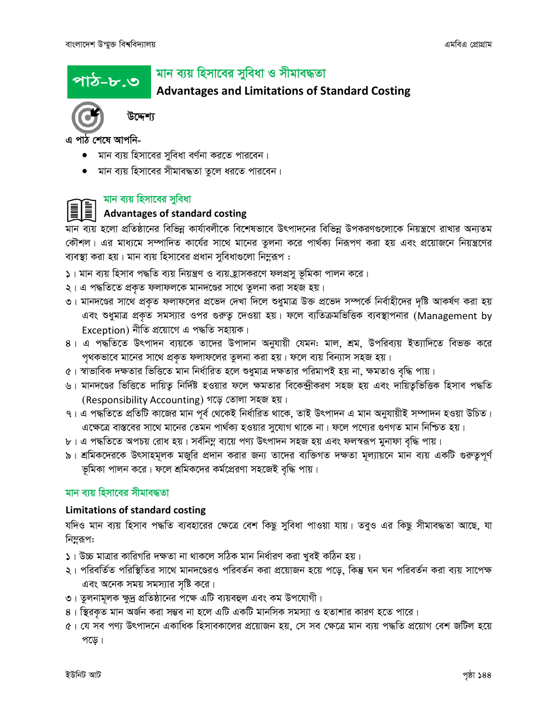পাঠ–৮.৩

# মান ব্যয় হিসাবের সুবিধা ও সীমাবদ্ধতা

# **Advantages and Limitations of Standard Costing**



উদ্দেশ্য

এ পাঠ শেষে আপনি-

- $\bullet$  মান ব্যয় হিসাবের সুবিধা বর্ণনা করতে পারবেন।
- মান ব্যয় হিসাবের সীমাবদ্ধতা তুলে ধরতে পারবেন।

## মান ব্যয় হিসাবের সুবিধা

## **Advantages of standard costing**

মান ব্যয় হলো প্রতিষ্ঠানের বিভিন্ন কার্যাবলীকে বিশেষভাবে উৎপাদনের বিভিন্ন উপকরণগুলোকে নিয়ন্ত্রণে রাখার অন্যতম কৌশল। এর মাধ্যমে সম্পাদিত কার্যের সাথে মানের তুলনা করে পার্থক্য নিরূপণ করা হয় এবং প্রয়োজনে নিয়ন্ত্রণের ব্যবস্থা করা হয়। মান ব্যয় হিসাবের প্রধান সুবিধাগুলো নিম্নরূপ :

- ১। মান ব্যয় হিসাব পদ্ধতি ব্যয় নিয়ন্ত্রণ ও ব্যয় হ্রাসকরণে ফলপ্রসু ভূমিকা পালন করে।
- ২। এ পদ্ধতিতে প্রকৃত ফলাফলকে মানদণ্ডের সাথে তুলনা করা সহজ হয়।
- ৩। মানদণ্ডের সাথে প্রকৃত ফলাফলের প্রভেদ দেখা দিলে শুধুমাত্র উক্ত প্রভেদ সম্পর্কে নির্বাহীদের দৃষ্টি আকর্ষণ করা হয় এবং শুধুমাত্র প্রকৃত সমস্যার ওপর গুরুত্ব দেওয়া হয়। ফলে ব্যতিক্রমভিত্তিক ব্যবস্থাপনার (Management by Exception) নীতি প্ৰয়োগে এ পদ্ধতি সহায়ক।
- ৪। এ পদ্ধতিতে উৎপাদন ব্যয়কে তাদের উপাদান অনুযায়ী যেমন: মাল, শ্রম, উপরিব্যয় ইত্যাদিতে বিভক্ত করে পৃথকভাবে মানের সাথে প্রকৃত ফলাফলের তুলনা করা হয়। ফলে ব্যয় বিন্যাস সহজ হয়।
- ৫। স্বাভাবিক দক্ষতার ভিত্তিতে মান নির্ধারিত হলে শুধুমাত্র দক্ষতার পরিমাপই হয় না, ক্ষমতাও বৃদ্ধি পায়।
- ৬। মানদণ্ডের ভিত্তিতে দায়িত্ব নির্দিষ্ট হওয়ার ফলে ক্ষমতার বিকেন্দ্রীকরণ সহজ হয় এবং দায়িত্বভিত্তিক হিসাব পদ্ধতি (Responsibility Accounting) গড়ে তোলা সহজ হয়।
- ৭। এ পদ্ধতিতে প্রতিটি কাজের মান পূর্ব থেকেই নির্ধারিত থাকে, তাই উৎপাদন এ মান অনুযায়ীই সম্পাদন হওয়া উচিত। এক্ষেত্রে বাস্তবের সাথে মানের তেমন পার্থক্য হওয়ার সুযোগ থাকে না। ফলে পণ্যের গুণগত মান নিশ্চিত হয়।
- ৮। এ পদ্ধতিতে অপচয় রোধ হয়। সর্বনিম্ন ব্যয়ে পণ্য উৎপাদন সহজ হয় এবং ফলস্বরূপ মুনাফা বৃদ্ধি পায়।
- ৯। শ্রমিকদেরকে উৎসাহমূলক মজুরি প্রদান করার জন্য তাদের ব্যক্তিগত দক্ষতা মূল্যায়নে মান ব্যয় একটি গুরুতুপূর্ণ ভূমিকা পালন করে। ফলে শ্রমিকদের কর্মপ্রেরণা সহজেই বৃদ্ধি পায়।

#### মান ব্যয় হিসাবের সীমাবদ্ধতা

#### **Limitations of standard costing**

যদিও মান ব্যয় হিসাব পদ্ধতি ব্যবহারের ক্ষেত্রে বেশ কিছু সুবিধা পাওয়া যায়। তবুও এর কিছু সীমাবদ্ধতা আছে, যা নিম্লুরূপ:

- ১। উচ্চ মাত্রার কারিগরি দক্ষতা না থাকলে সঠিক মান নির্ধারণ করা খুবই কঠিন হয়।
- ২। পরিবর্তিত পরিস্থিতির সাথে মানদণ্ডেরও পরিবর্তন করা প্রয়োজন হয়ে পড়ে, কিন্তু ঘন ঘন পরিবর্তন করা ব্যয় সাপেক্ষ এবং অনেক সময় সমস্যার সৃষ্টি করে।
- ৩। তুলনামূলক ক্ষুদ্র প্রতিষ্ঠানের পক্ষে এটি ব্যয়বহুল এবং কম উপযোগী।
- ৪। স্থিরকৃত মান অর্জন করা সম্ভব না হলে এটি একটি মানসিক সমস্যা ও হতাশার কারণ হতে পারে।
- ৫। যে সব পণ্য উৎপাদনে একাধিক হিসাবকালের প্রয়োজন হয়, সে সব ক্ষেত্রে মান ব্যয় পদ্ধতি প্রয়োগ বেশ জটিল হয়ে পড়ে।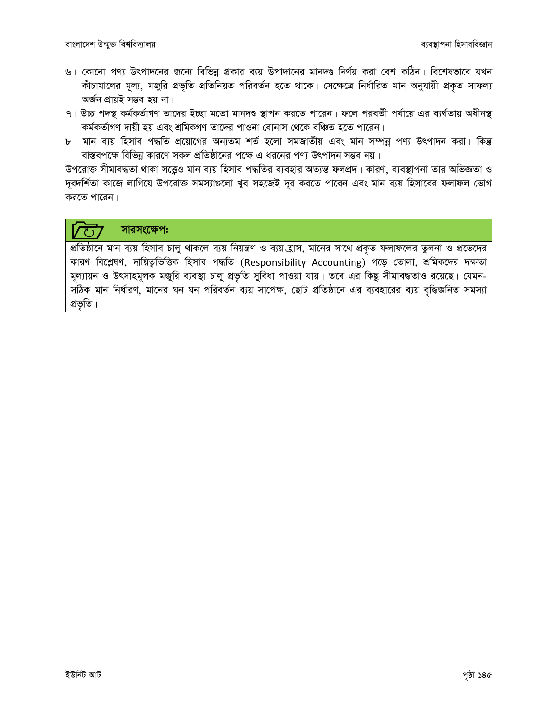- ৬। কোনো পণ্য উৎপাদনের জন্যে বিভিন্ন প্রকার ব্যয় উপাদানের মানদণ্ড নির্ণয় করা বেশ কঠিন। বিশেষভাবে যখন কাঁচামালের মূল্য, মজুরি প্রভৃতি প্রতিনিয়ত পরিবর্তন হতে থাকে। সেক্ষেত্রে নির্ধারিত মান অনুযায়ী প্রকৃত সাফল্য অৰ্জন প্ৰায়ই সম্ভব হয় না।
- ৭। উচ্চ পদস্থ কর্মকর্তাগণ তাদের ইচ্ছা মতো মানদণ্ড স্থাপন করতে পারেন। ফলে পরবর্তী পর্যায়ে এর ব্যর্থতায় অধীনস্থ কৰ্মকৰ্তাগণ দায়ী হয় এবং শ্ৰমিকগণ তাদেৱ পাওনা বোনাস থেকে বঞ্চিত হতে পাৱেন।
- ৮। মান ব্যয় হিসাব পদ্ধতি প্রয়োগের অন্যতম শর্ত হলো সমজাতীয় এবং মান সম্পন্ন পণ্য উৎপাদন করা। কিন্তু বাস্তবপক্ষে বিভিন্ন কারণে সকল প্রতিষ্ঠানের পক্ষে এ ধরনের পণ্য উৎপাদন সম্ভব নয়।

উপরোক্ত সীমাবদ্ধতা থাকা সত্তেও মান ব্যয় হিসাব পদ্ধতির ব্যবহার অত্যন্ত ফলপ্রদ। কারণ, ব্যবস্থাপনা তার অভিজ্ঞতা ও দূরদর্শিতা কাজে লাগিয়ে উপরোক্ত সমস্যাগুলো খুব সহজেই দূর করতে পারেন এবং মান ব্যয় হিসাবের ফলাফল ভোগ করতে পারেন।

#### সারসংক্ষেপ:  $\overline{\text{C}}$

প্রতিষ্ঠানে মান ব্যয় হিসাব চালু থাকলে ব্যয় নিয়ন্ত্রণ ও ব্যয় হ্রাস, মানের সাথে প্রকৃত ফলাফলের তুলনা ও প্রভেদের কারণ বিশ্লেষণ, দায়িত্বভিত্তিক হিসাব পদ্ধতি (Responsibility Accounting) গড়ে তোলা, শ্রমিকদের দক্ষতা মূল্যায়ন ও উৎসাহমূলক মজুরি ব্যবস্থা চালু প্রভৃতি সুবিধা পাওয়া যায়। তবে এর কিছু সীমাবদ্ধতাও রয়েছে। যেমন-সঠিক মান নির্ধারণ, মানের ঘন ঘন পরিবর্তন ব্যয় সাপেক্ষ, ছোট প্রতিষ্ঠানে এর ব্যবহারের ব্যয় বৃদ্ধিজনিত সমস্যা প্ৰভৃতি।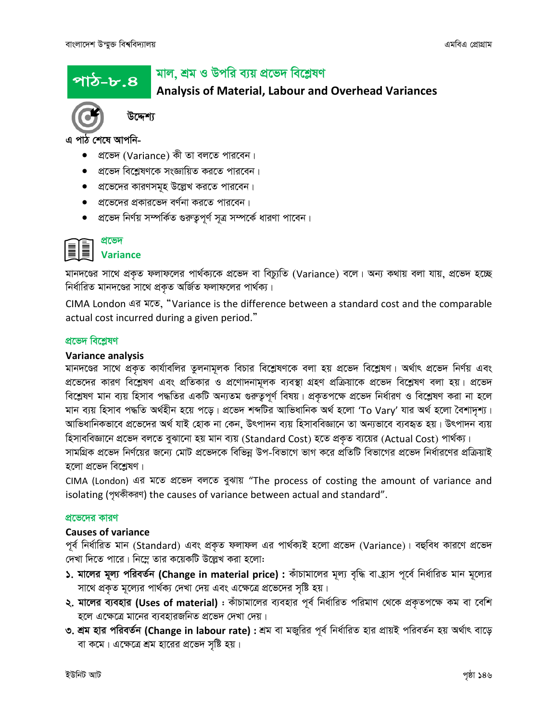পাঠ–৮.৪ $\,$ 

# মাল, শ্ৰম ও উপরি ব্যয় প্রভেদ বিশ্লেষণ

## Analysis of Material, Labour and Overhead Variances



উদ্দেশ্য

এ পাঠ শেষে আপনি-

- প্ৰভেদ (Variance) কী তা বলতে পারবেন।
- $\bullet$  aাভেদ বিশ্লেষণকে সংজ্ঞায়িত করতে পারবেন।
- প্রভেদের কারণসমূহ উল্লেখ করতে পারবেন।
- $\bullet$   $\,$  প্রভেদের প্রকারভেদ বর্ণনা করতে পারবেন।
- প্রভেদ নির্ণয় সম্পর্কিত গুরুতুপূর্ণ সূত্র সম্পর্কে ধারণা পাবেন।

#### প্ৰভেদ Variance

মানদণ্ডের সাথে প্রকৃত ফলাফলের পার্থক্যকে প্রভেদ বা বিচ্যুতি (Variance) বলে। অন্য কথায় বলা যায়, প্রভেদ হচ্ছে নির্ধারিত মানদণ্ডের সাথে প্রকৃত অর্জিত ফলাফলের পার্থক্য।

CIMA London এর মতে, "Variance is the difference between a standard cost and the comparable actual cost incurred during a given period."

#### প্ৰভেদ বিশ্লেষণ

#### Variance analysis

মানদণ্ডের সাথে প্রকৃত কার্যাবলির তুলনামূলক বিচার বিশ্লেষণকে বলা হয় প্রভেদ বিশ্লেষণ। অর্থাৎ প্রভেদ নির্ণয় এবং প্রভেদের কারণ বিশ্লেষণ এবং প্রতিকার ও প্রণোদনামূলক ব্যবস্থা গ্রহণ প্রক্রিয়াকে প্রভেদ বিশ্লেষণ বলা হয়। প্রভেদ বিশ্লেষণ মান ব্যয় হিসাব পদ্ধতির একটি অন্যতম গুরুতুপূর্ণ বিষয়। প্রকৃতপক্ষে প্রভেদ নির্ধারণ ও বিশ্লেষণ করা না হলে মান ব্যয় হিসাব পদ্ধতি অৰ্থহীন হয়ে পড়ে। প্ৰভেদ শব্দটির আভিধানিক অৰ্থ হলো 'To Vary' যার অৰ্থ হলো বৈশাদৃশ্য। আভিধানিকভাবে প্রভেদের অর্থ যাই হোক না কেন, উৎপাদন ব্যয় হিসাববিজ্ঞানে তা অন্যভাবে ব্যবহৃত হয়। উৎপাদন ব্যয় হিসাববিজ্ঞানে প্ৰভেদ বলতে বুঝানো হয় মান ব্যয় (Standard Cost) হতে প্ৰকৃত ব্যয়ের (Actual Cost) পাৰ্থক্য।

সামগ্রিক প্রভেদ নির্ণয়ের জন্যে মোট প্রভেদকে বিভিন্ন উপ-বিভাগে ভাগ করে প্রতিটি বিভাগের প্রভেদ নির্ধারণের প্রক্রিয়াই হলো প্ৰভেদ বিশ্লেষণ।

CIMA (London) এর মতে প্রভেদ বলতে বুঝায় "The process of costing the amount of variance and isolating (পৃথকীকরণ) the causes of variance between actual and standard".

#### প্রভেদের কারণ

#### Causes of variance

পূর্ব নির্ধারিত মান (Standard) এবং প্রকৃত ফলাফল এর পার্থক্যই হলো প্রভেদ (Variance)। বহুবিধ কারণে প্রভেদ দেখা দিতে পারে। নিম্নে তার কয়েকটি উল্লেখ করা হলো:

- ১. মালের মূল্য পরিবর্তন (Change in material price) : কাঁচামালের মূল্য বৃদ্ধি বা হ্রাস পূর্বে নির্ধারিত মান মূল্যের সাথে প্রকৃত মূল্যের পার্থক্য দেখা দেয় এবং এক্ষেত্রে প্রভেদের সৃষ্টি হয়।
- ২. মালের ব্যবহার (Uses of material) : কাঁচামালের ব্যবহার পূর্ব নির্ধারিত পরিমাণ থেকে প্রকৃতপক্ষে কম বা বেশি হলে এক্ষেত্রে মানের ব্যবহারজনিত প্রভেদ দেখা দেয়।
- ৩. শ্রম হার পরিবর্তন (Change in labour rate) : শ্রম বা মজুরির পূর্ব নির্ধারিত হার প্রায়ই পরিবর্তন হয় অর্থাৎ বাড়ে বা কমে। এক্ষেত্রে শ্রম হারের প্রভেদ সৃষ্টি হয়।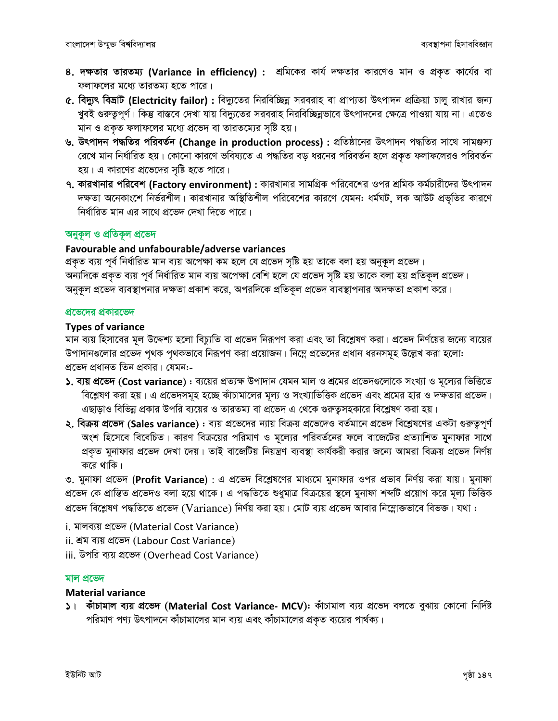- 8. দক্ষতার তারতম্য (Variance in efficiency) : শ্রমিকের কার্য দক্ষতার কারণেও মান ও প্রকৃত কার্যের বা ফলাফলের মধ্যে তারতম্য হতে পারে।
- c. বিদ্যুৎ বিভ্রাট (Electricity failor): বিদ্যুতের নিরবিচ্ছিন্ন সরবরাহ বা প্রাপ্যতা উৎপাদন প্রক্রিয়া চালু রাখার জন্য খুবই গুরুত্বপূর্ণ। কিন্তু বাস্তবে দেখা যায় বিদ্যুতের সরবরাহ নিরবিচ্ছিন্নভাবে উৎপাদনের ক্ষেত্রে পাওয়া যায় না। এতেও মান ও প্রকৃত ফলাফলের মধ্যে প্রভেদ বা তারতম্যের সৃষ্টি হয়।
- ৬. উৎপাদন পদ্ধতির পরিবর্তন (Change in production process) : প্রতিষ্ঠানের উৎপাদন পদ্ধতির সাথে সামঞ্জস্য রেখে মান নির্ধারিত হয়। কোনো কারণে ভবিষ্যতে এ পদ্ধতির বড় ধরনের পরিবর্তন হলে প্রকৃত ফলাফলেরও পরিবর্তন হয়। এ কারণের প্রভেদের সৃষ্টি হতে পারে।
- ৭. কারখানার পরিবেশ (Factory environment) : কারখানার সামগ্রিক পরিবেশের ওপর শ্রমিক কর্মচারীদের উৎপাদন দক্ষতা অনেকাংশে নির্ভরশীল। কারখানার অস্থিতিশীল পরিবেশের কারণে যেমন: ধর্মঘট, লক আউট প্রভৃতির কারণে নিৰ্ধাৱিত মান এৱ সাথে প্ৰভেদ দেখা দিতে পাৱে।

#### অনুকূল ও প্রতিকূল প্রভেদ

#### Favourable and unfabourable/adverse variances

প্রকৃত ব্যয় পূর্ব নির্ধারিত মান ব্যয় অপেক্ষা কম হলে যে প্রভেদ সৃষ্টি হয় তাকে বলা হয় অনুকূল প্রভেদ। অন্যদিকে প্রকৃত ব্যয় পূর্ব নির্ধারিত মান ব্যয় অপেক্ষা বেশি হলে যে প্রভেদ সৃষ্টি হয় তাকে বলা হয় প্রতিকূল প্রভেদ। অনুকূল প্রভেদ ব্যবস্থাপনার দক্ষতা প্রকাশ করে, অপরদিকে প্রতিকূল প্রভেদ ব্যবস্থাপনার অদক্ষতা প্রকাশ করে।

#### প্রভেদের প্রকারভেদ

#### **Types of variance**

মান ব্যয় হিসাবের মূল উদ্দেশ্য হলো বিচ্যুতি বা প্রভেদ নিরূপণ করা এবং তা বিশ্লেষণ করা। প্রভেদ নির্ণয়ের জন্যে ব্যয়ের উপাদানগুলোর প্রভেদ পৃথক পৃথকভাবে নিরূপণ করা প্রয়োজন। নিম্নে প্রভেদের প্রধান ধরনসমূহ উল্লেখ করা হলো: প্রভেদ প্রধানত তিন প্রকার। যেমন:-

- ১. ব্যয় প্রভেদ (Cost variance) : ব্যয়ের প্রত্যক্ষ উপাদান যেমন মাল ও শ্রমের প্রভেদগুলোকে সংখ্যা ও মূল্যের ভিত্তিত বিশ্লেষণ করা হয়। এ প্রভেদসমূহ হচ্ছে কাঁচামালের মূল্য ও সংখ্যাভিত্তিক প্রভেদ এবং শ্রমের হার ও দক্ষতার প্রভেদ। এছাড়াও বিভিন্ন প্রকার উপরি ব্যয়ের ও তারতম্য বা প্রভেদ এ থেকে গুরুত্বসহকারে বিশ্লেষণ করা হয়।
- ২. বিক্রয় প্রভেদ (Sales variance) : ব্যয় প্রভেদের ন্যায় বিক্রয় প্রভেদেও বর্তমানে প্রভেদ বিশ্লেষণের একটা গুরুত্বপূর্ণ অংশ হিসেবে বিবেচিত। কারণ বিক্রয়ের পরিমাণ ও মূল্যের পরিবর্তনের ফলে বাজেটের প্রত্যাশিত মুনাফার সাথে প্রকৃত মুনাফার প্রভেদ দেখা দেয়। তাই বাজেটিয় নিয়ন্ত্রণ ব্যবস্থা কার্যকরী করার জন্যে আমরা বিক্রয় প্রভেদ নির্ণয় করে থাকি।

৩. মুনাফা প্রভেদ (Profit Variance) : এ প্রভেদ বিশ্লেষণের মাধ্যমে মুনাফার ওপর প্রভাব নির্ণয় করা যায়। মুনাফা প্রভেদ কে প্রান্তিত প্রভেদও বলা হয়ে থাকে। এ পদ্ধতিতে শুধুমাত্র বিক্রয়ের স্থলে মুনাফা শব্দটি প্রয়োগ করে মূল্য ভিত্তিক প্রভেদ বিশ্লেষণ পদ্ধতিতে প্রভেদ (Variance) নির্ণয় করা হয়। মোট ব্যয় প্রভেদ আবার নিম্নোক্তভাবে বিভক্ত। যথা :

- i. মালব্যয় প্ৰভেদ (Material Cost Variance)
- ii. শ্ৰম ব্যয় প্ৰভেদ (Labour Cost Variance)
- iii. উপরি ব্যয় প্রভেদ (Overhead Cost Variance)

#### মাল প্ৰভেদ

#### **Material variance**

১। কাঁচামাল ব্যয় প্রভেদ (Material Cost Variance- MCV): কাঁচামাল ব্যয় প্রভেদ বলতে বুঝায় কোনো নির্দিষ্ট পরিমাণ পণ্য উৎপাদনে কাঁচামালের মান ব্যয় এবং কাঁচামালের প্রকৃত ব্যয়ের পার্থক্য।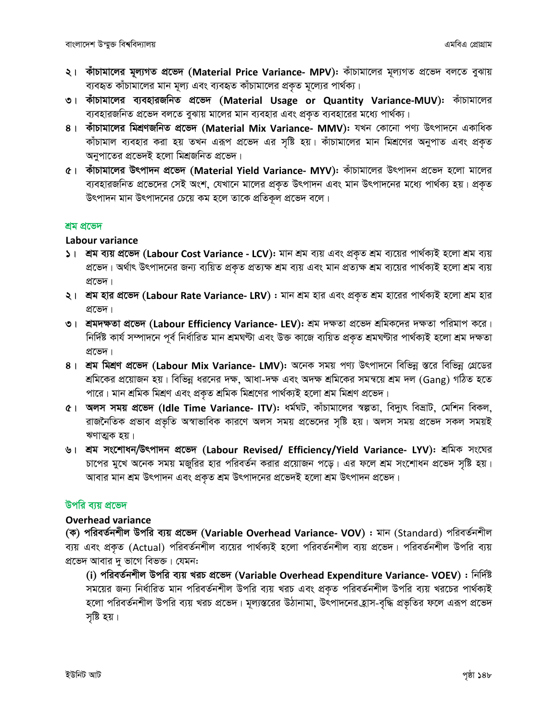- $\lambda$ । কাঁচামালের মূল্যগত প্রভেদ (Material Price Variance- MPV): কাঁচামালের মূল্যগত প্রভেদ বলতে বুঝায় ব্যবহৃত কাঁচামালের মান মূল্য এবং ব্যবহৃত কাঁচামালের প্রকৃত মূল্যের পার্থক্য।
- ৩। কাঁচামালের ব্যবহারজনিত প্রভেদ (Material Usage or Quantity Variance-MUV): কাঁচামালের ব্যবহারজনিত প্রভেদ বলতে বুঝায় মালের মান ব্যবহার এবং প্রকৃত ব্যবহারের মধ্যে পার্থক্য।
- 8। কাঁচামালের মিশ্রণজনিত প্রভেদ (Material Mix Variance- MMV): যখন কোনো পণ্য উৎপাদনে একাধিক কাঁচামাল ব্যবহার করা হয় তখন এরূপ প্রভেদ এর সৃষ্টি হয়। কাঁচামালের মান মিশ্রণের অনুপাত এবং প্রকৃত অনুপাতের প্রভেদই হলো মিশ্রজনিত প্রভেদ।
- $6$ । কাঁচামালের উৎপাদন প্রভেদ (Material Yield Variance- MYV): কাঁচামালের উৎপাদন প্রভেদ হলো মালের ব্যবহারজনিত প্রভেদের সেই অংশ, যেখানে মালের প্রকৃত উৎপাদন এবং মান উৎপাদনের মধ্যে পার্থক্য হয়। প্রকৃত উৎপাদন মান উৎপাদনের চেয়ে কম হলে তাকে প্রতিকূল প্রভেদ বলে।

#### শ্ৰম প্ৰভেদ

#### Labour variance

- $|S|$ । শ্রম ব্যয় প্রভেদ (Labour Cost Variance LCV): মান শ্রম ব্যয় এবং প্রকৃত শ্রম ব্যয়ের পার্থক্যই হলো শ্রম ব্যয় প্রভেদ। অর্থাৎ উৎপাদনের জন্য ব্যয়িত প্রকৃত প্রত্যক্ষ শ্রম ব্যয় এবং মান প্রত্যক্ষ শ্রম ব্যয়ের পার্থক্যই হলো শ্রম ব্যয় প্ৰভেদ।
- $\lambda$ । শ্রম হার প্রভেদ (Labour Rate Variance- LRV) : মান শ্রম হার এবং প্রকৃত শ্রম হারের পার্থক্যই হলো শ্রম হার প্ৰভেদ।
- ৩। শ্রমদক্ষতা প্রভেদ (Labour Efficiency Variance- LEV): শ্রম দক্ষতা প্রভেদ শ্রমিকদের দক্ষতা পরিমাপ করে। নিৰ্দিষ্ট কাৰ্য সম্পাদনে পূৰ্ব নিৰ্ধাৱিত মান শ্ৰমঘণ্টা এবং উক্ত কাজে ব্যয়িত প্ৰকৃত শ্ৰমঘণ্টাৱ পাৰ্থক্যই হলো শ্ৰম দক্ষতা প্ৰভেদ।
- 8। শ্রম মিশ্রণ প্রভেদ (Labour Mix Variance- LMV): অনেক সময় পণ্য উৎপাদনে বিভিন্ন স্তরে বিভিন্ন গ্রেডের শ্রমিকের প্রয়োজন হয়। বিভিন্ন ধরনের দক্ষ, আধা-দক্ষ এবং অদক্ষ শ্রমিকের সমন্বয়ে শ্রম দল (Gang) গঠিত হতে পারে। মান শ্রমিক মিশ্রণ এবং প্রকৃত শ্রমিক মিশ্রণের পার্থক্যই হলো শ্রম মিশ্রণ প্রভেদ।
- $6$ । অলস সময় প্রভেদ (Idle Time Variance- ITV): ধর্মঘট, কাঁচামালের স্বল্পতা, বিদ্যুৎ বিভ্রাট, মেশিন বিকল, রাজনৈতিক প্রভাব প্রভৃতি অস্বাভাবিক কারণে অলস সময় প্রভেদের সৃষ্টি হয়। অলস সময় প্রভেদ সকল সময়ই ঋণাত্মক হয়।
- ৬। শ্রম সংশোধন/উৎপাদন প্রভেদ (Labour Revised/ Efficiency/Yield Variance- LYV): শ্রমিক সংঘের চাপের মুখে অনেক সময় মজুরির হার পরিবর্তন করার প্রয়োজন পড়ে। এর ফলে শ্রম সংশোধন প্রভেদ সৃষ্টি হয়। আবার মান শ্রম উৎপাদন এবং প্রকৃত শ্রম উৎপাদনের প্রভেদই হলো শ্রম উৎপাদন প্রভেদ।

#### উপরি ব্যয় প্রভেদ

#### Overhead variance

(ক) পরিবর্তনশীল উপরি ব্যয় প্রভেদ (Variable Overhead Variance- VOV) : মান (Standard) পরিবর্তনশীল ব্যয় এবং প্রকৃত (Actual) পরিবর্তনশীল ব্যয়ের পার্থক্যই হলো পরিবর্তনশীল ব্যয় প্রভেদ। পরিবর্তনশীল উপরি ব্যয় প্রভেদ আবার দু ভাগে বিভক্ত। যেমন:

(i) পরিবর্তনশীল উপরি ব্যয় খরচ প্রভেদ (Variable Overhead Expenditure Variance- VOEV) : নির্দিষ্ট সময়ের জন্য নির্ধারিত মান পরিবর্তনশীল উপরি ব্যয় খরচ এবং প্রকৃত পরিবর্তনশীল উপরি ব্যয় খরচের পার্থক্যই হলো পরিবর্তনশীল উপরি ব্যয় খরচ প্রভেদ। মূল্যস্তরের উঠানামা, উৎপাদনের হ্রাস-বৃদ্ধি প্রভৃতির ফলে এরূপ প্রভেদ সষ্টি হয়।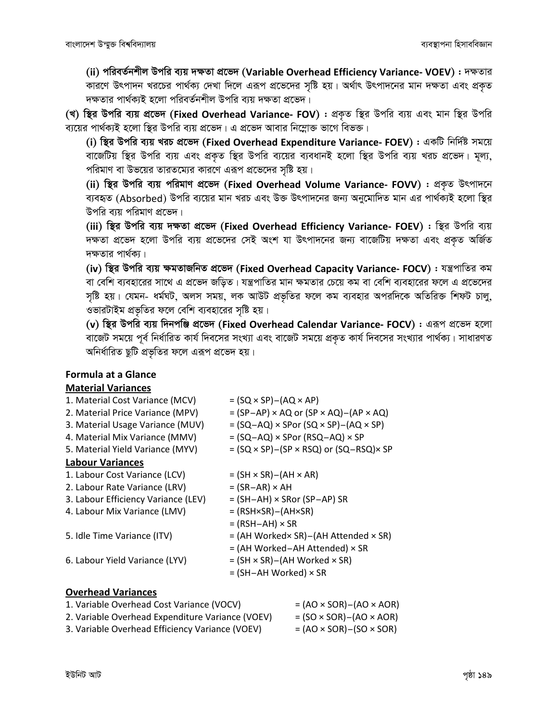(ii) পরিবর্তনশীল উপরি ব্যয় দক্ষতা প্রভেদ (Variable Overhead Efficiency Variance- VOEV) : দক্ষতার কারণে উৎপাদন খরচের পার্থক্য দেখা দিলে এরূপ প্রভেদের সৃষ্টি হয়। অর্থাৎ উৎপাদনের মান দক্ষতা এবং প্রকৃত দক্ষতার পার্থক্যই হলো পরিবর্তনশীল উপরি ব্যয় দক্ষতা প্রভেদ।

(খ) ছির উপরি ব্যয় প্রভেদ (Fixed Overhead Variance- FOV) : প্রকৃত ছির উপরি ব্যয় এবং মান ছির উপরি ব্যয়ের পার্থক্যই হলো স্থির উপরি ব্যয় প্রভেদ। এ প্রভেদ আবার নিম্লোক্ত ভাগে বিভক্ত।

(i) স্থির উপরি ব্যয় খরচ প্রভেদ (Fixed Overhead Expenditure Variance- FOEV) : একটি নির্দিষ্ট সময়ে বার্জেটিয় স্থির উপরি ব্যয় এবং প্রকৃত স্থির উপরি ব্যয়ের ব্যবধানই হলো স্থির উপরি ব্যয় খরচ প্রভেদ। মূল্য, পরিমাণ বা উভয়ের তারতম্যের কারণে এরূপ প্রভেদের সৃষ্টি হয়।

(ii) স্থির উপরি ব্যয় পরিমাণ প্রভেদ (Fixed Overhead Volume Variance- FOVV) : প্রকৃত উৎপাদনে ব্যবহৃত (Absorbed) উপরি ব্যয়ের মান খরচ এবং উক্ত উৎপাদনের জন্য অনুমোদিত মান এর পার্থক্যই হলো স্থির উপরি ব্যয় পরিমাণ প্রভেদ।

(iii) ছির উপরি ব্যয় দক্ষতা প্রভেদ (Fixed Overhead Efficiency Variance- FOEV) : ছির উপরি ব্যয় দক্ষতা প্রভেদ হলো উপরি ব্যয় প্রভেদের সেই অংশ যা উৎপাদনের জন্য বাজেটিয় দক্ষতা এবং প্রকৃত অর্জিত দক্ষতার পার্থক্য।

(iv) স্থির উপরি ব্যয় ক্ষমতাজনিত প্রভেদ (Fixed Overhead Capacity Variance- FOCV) : যন্ত্রপাতির কম বা বেশি ব্যবহারের সাথে এ প্রভেদ জড়িত। যন্ত্রপাতির মান ক্ষমতার চেয়ে কম বা বেশি ব্যবহারের ফলে এ প্রভেদের সৃষ্টি হয়। যেমন- ধর্মঘট, অলস সময়, লক আউট প্রভৃতির ফলে কম ব্যবহার অপরদিকে অতিরিক্ত শিফট চালু, ওভারটাইম প্রভৃতির ফলে বেশি ব্যবহারের সৃষ্টি হয়।

(v) স্থির উপরি ব্যয় দিনপঞ্জি প্রভেদ (Fixed Overhead Calendar Variance- FOCV) : এরূপ প্রভেদ হলো বাজেট সময়ে পূর্ব নির্ধারিত কার্য দিবসের সংখ্যা এবং বাজেট সময়ে প্রকৃত কার্য দিবসের সংখ্যার পার্থক্য। সাধারণত অনির্ধারিত ছুটি প্রভৃতির ফলে এরূপ প্রভেদ হয়।

#### **Formula at a Glance Material Variances**

| 1. Material Cost Variance (MCV)     | $= (SQ \times SP) - (AQ \times AP)$                            |
|-------------------------------------|----------------------------------------------------------------|
| 2. Material Price Variance (MPV)    | $= (SP-AP) \times AQ$ or $(SP \times AQ) - (AP \times AQ)$     |
| 3. Material Usage Variance (MUV)    | $= (SQ-AQ) \times SPor (SQ \times SP) - (AQ \times SP)$        |
| 4. Material Mix Variance (MMV)      | $= (SQ-AQ) \times SPor (RSQ-AQ) \times SP$                     |
| 5. Material Yield Variance (MYV)    | $= (SQ \times SP) - (SP \times RSQ)$ or $(SQ - RSQ) \times SP$ |
| <b>Labour Variances</b>             |                                                                |
| 1. Labour Cost Variance (LCV)       | $= (SH \times SR) - (AH \times AR)$                            |
| 2. Labour Rate Variance (LRV)       | $= (SR-AR) \times AH$                                          |
| 3. Labour Efficiency Variance (LEV) | $= (SH-AH) \times SRor (SP-AP) SR$                             |
| 4. Labour Mix Variance (LMV)        | $=$ (RSH×SR) – (AH×SR)                                         |
|                                     | $=$ (RSH-AH) $\times$ SR                                       |
| 5. Idle Time Variance (ITV)         | $=$ (AH Worked× SR)–(AH Attended × SR)                         |
|                                     | = (AH Worked-AH Attended) × SR                                 |
| 6. Labour Yield Variance (LYV)      | $= (SH \times SR) - (AH Worked \times SR)$                     |
|                                     | $=$ (SH-AH Worked) $\times$ SR                                 |
|                                     |                                                                |

#### **Overhead Variances**

| 1. Variable Overhead Cost Variance (VOCV)        | $= (AO \times SOR) - (AO \times AOR)$ |
|--------------------------------------------------|---------------------------------------|
| 2. Variable Overhead Expenditure Variance (VOEV) | $= (SO \times SOR) - (AO \times AOR)$ |
| 3. Variable Overhead Efficiency Variance (VOEV)  | $=(AO \times SOR) - (SO \times SOR)$  |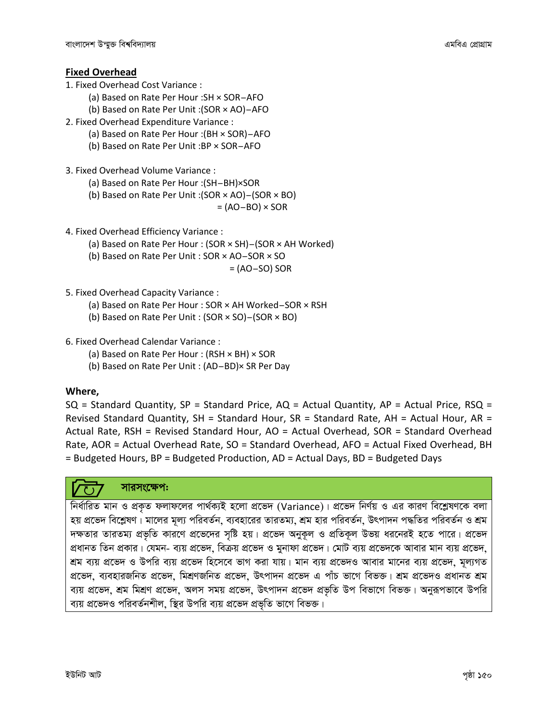#### Fixed Overhead

- 1. Fixed Overhead Cost Variance :
	- (a) Based on Rate Per Hour :SH × SOR-AFO
	- (b) Based on Rate Per Unit :(SOR × AO)-AFO
- 2. Fixed Overhead Expenditure Variance :
	- (a) Based on Rate Per Hour :(BH × SOR)-AFO
	- (b) Based on Rate Per Unit :BP × SOR-AFO
- 3. Fixed Overhead Volume Variance :
	- (a) Based on Rate Per Hour :(SH-BH)×SOR
	- (a) Based on Rate Per Hour :(SH–BH)×SOR<br>(b) Based on Rate Per Unit :(SOR × AO)–(SOR × BO) (d) Based on Rate Per Unit :(SOR × AO)=(SOR × BC)<br>(AO–BO) =
		-
- 4. Fixed Overhead Efficiency Variance :
	- (a) Based on Rate Per Hour : (SOR × SH)-(SOR × AH Worked)
	- (a) Based on Rate Per Hour : (SOR × SH)—(SOR × *P*<br>(b) Based on Rate Per Unit : SOR × AO–SOR × SO (b) Based on Rate Per Unit : SOR × AO–SOR × SO<br>= (AO–SO) SOR
		-
- 5. Fixed Overhead Capacity Variance :
	- (a) Based on Rate Per Hour : SOR × AH Worked-SOR × RSH
	- (b) Based on Rate Per Unit : (SOR × SO)-(SOR × BO)
- 6. Fixed Overhead Calendar Variance :
	- (a) Based on Rate Per Hour : (RSH × BH) × SOR
	- (b) Based on Rate Per Unit : (AD-BD)× SR Per Day

#### Where,

 $SQ = Standard$  Quantity,  $SP = Standard$  Price,  $AQ = Actual$  Quantity,  $AP = Actual$  Price,  $RSQ =$ Revised Standard Quantity, SH = Standard Hour, SR = Standard Rate, AH = Actual Hour, AR = Actual Rate, RSH = Revised Standard Hour, AO = Actual Overhead, SOR = Standard Overhead Rate, AOR = Actual Overhead Rate, SO = Standard Overhead, AFO = Actual Fixed Overhead, BH = Budgeted Hours, BP = Budgeted Production, AD = Actual Days, BD = Budgeted Days

#### সারসংক্ষেপ:

নিৰ্ধাৱিত মান ও প্ৰকৃত ফলাফলের পাৰ্থক্যই হলো প্ৰভেদ (Variance)। প্ৰভেদ নিৰ্ণয় ও এর কারণ বিশ্লেষণকে বলা হয় প্রভেদ বিশ্লেষণ। মালের মূল্য পরিবর্তন, ব্যবহারের তারতম্য, শ্রম হার পরিবর্তন, উৎপাদন পদ্ধতির পরিবর্তন ও শ্রম দক্ষতার তারতম্য প্রভৃতি কারণে প্রভেদের সৃষ্টি হয়। প্রভেদ অনুকূল ও প্রতিকূল উভয় ধরনেরই হতে পারে। প্রভেদ প্রধানত তিন প্রকার। যেমন- ব্যয় প্রভেদ, বিক্রয় প্রভেদ ও মুনাফা প্রভেদ। মোট ব্যয় প্রভেদকে আবার মান ব্যয় প্রভেদ, <u>শ্রম ব্যয় প্রভেদ ও উপরি ব্যয় প্রভেদ হিসেবে ভাগ করা যায়। মান ব্যয় প্রভেদও আবার মানের ব্যয় প্রভেদ, মূল্যগত</u> প্ৰভেদ, ব্যবহারজনিত প্ৰভেদ, মিশ্ৰণজনিত প্ৰভেদ, উৎপাদন প্ৰভেদ এ পাঁচ ভাগে বিভক্ত। শ্ৰম প্ৰভেদও প্ৰধানত শ্ৰম ব্যয় প্রভেদ, শ্রম মিশ্রণ প্রভেদ, অলস সময় প্রভেদ, উৎপাদন প্রভেদ প্রভৃতি উপ বিভাগে বিভক্ত। অনুরূপভাবে উপরি ব্যয় প্রভেদও পরিবর্তনশীল, স্থির উপরি ব্যয় প্রভেদ প্রভৃতি ভাগে বিভক্ত।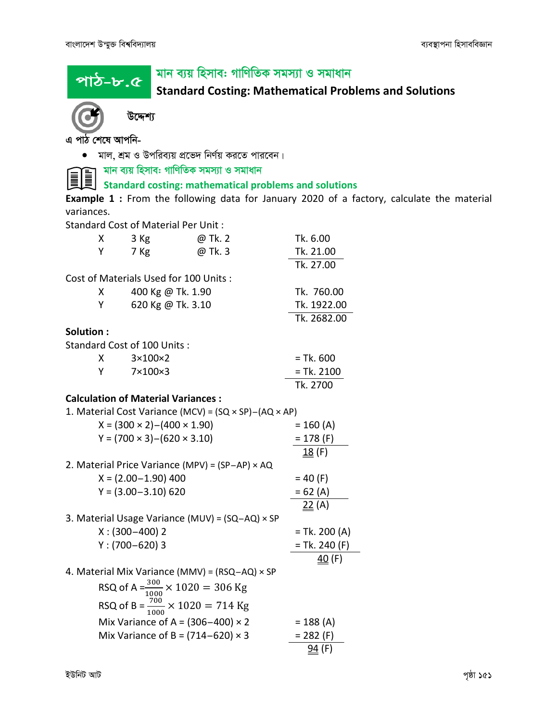<u>পাঠ-৮.৫</u>

# মান ব্যয় হিসাব: গাণিতিক সমস্যা ও সমাধান

Standard Costing: Mathematical Problems and Solutions



I

উদ্দেশ্য

এ পাঠ শেষে আপনি-

 $\bullet$  মাল, শ্রম ও উপরিব্যয় প্রভেদ নির্ণয় করতে পারবেন।

মান ব্যয় হিসাব: গাণিতিক সমস্যা ও সমাধান

Standard costing: mathematical problems and solutions

Example 1 : From the following data for January 2020 of a factory, calculate the material variances.

Standard Cost of Material Per Unit :

|            | X | $3$ Kg                                                                                         | @ Tk. 2                                                             | Tk. 6.00           |
|------------|---|------------------------------------------------------------------------------------------------|---------------------------------------------------------------------|--------------------|
|            | Υ | 7 Kg                                                                                           | @ Tk. 3                                                             | Tk. 21.00          |
|            |   |                                                                                                |                                                                     | Tk. 27.00          |
|            |   | Cost of Materials Used for 100 Units:                                                          |                                                                     |                    |
|            | х | 400 Kg @ Tk. 1.90                                                                              |                                                                     | Tk. 760.00         |
|            | Y | 620 Kg @ Tk. 3.10                                                                              |                                                                     | Tk. 1922.00        |
|            |   |                                                                                                |                                                                     | Tk. 2682.00        |
| Solution : |   |                                                                                                |                                                                     |                    |
|            |   | Standard Cost of 100 Units :                                                                   |                                                                     |                    |
|            | x | $3\times100\times2$                                                                            |                                                                     | $=$ Tk. 600        |
|            | Y | 7×100×3                                                                                        |                                                                     | $= Tk. 2100$       |
|            |   |                                                                                                |                                                                     | Tk. 2700           |
|            |   | <b>Calculation of Material Variances:</b>                                                      |                                                                     |                    |
|            |   |                                                                                                | 1. Material Cost Variance (MCV) = $(SQ \times SP) - (AQ \times AP)$ |                    |
|            |   | $X = (300 \times 2) - (400 \times 1.90)$                                                       |                                                                     | $= 160 (A)$        |
|            |   | $Y = (700 \times 3) - (620 \times 3.10)$                                                       |                                                                     | $= 178$ (F)        |
|            |   |                                                                                                |                                                                     | 18(F)              |
|            |   |                                                                                                | 2. Material Price Variance (MPV) = (SP-AP) × AQ                     |                    |
|            |   | $X = (2.00 - 1.90)$ 400                                                                        |                                                                     | $= 40 (F)$         |
|            |   | $Y = (3.00 - 3.10) 620$                                                                        |                                                                     | $= 62 (A)$         |
|            |   |                                                                                                |                                                                     | 22(A)              |
|            |   |                                                                                                | 3. Material Usage Variance (MUV) = (SQ-AQ) × SP                     |                    |
|            |   | $X: (300-400)$ 2                                                                               |                                                                     | $=$ Tk. 200 (A)    |
|            |   | $Y: (700 - 620)$ 3                                                                             |                                                                     | $=$ Tk. 240 (F)    |
|            |   |                                                                                                |                                                                     | $\frac{40}{5}$ (F) |
|            |   |                                                                                                | 4. Material Mix Variance (MMV) = (RSQ-AQ) × SP                      |                    |
|            |   | RSQ of A = $\frac{300}{1000}$ × 1020 = 306 Kg<br>RSQ of B = $\frac{700}{1000}$ × 1020 = 714 Kg |                                                                     |                    |
|            |   |                                                                                                |                                                                     |                    |
|            |   | Mix Variance of A = $(306-400) \times 2$                                                       |                                                                     | $= 188 (A)$        |
|            |   | Mix Variance of B = $(714-620) \times 3$                                                       |                                                                     | $= 282 (F)$        |
|            |   |                                                                                                |                                                                     | 94 (F)             |
|            |   |                                                                                                |                                                                     |                    |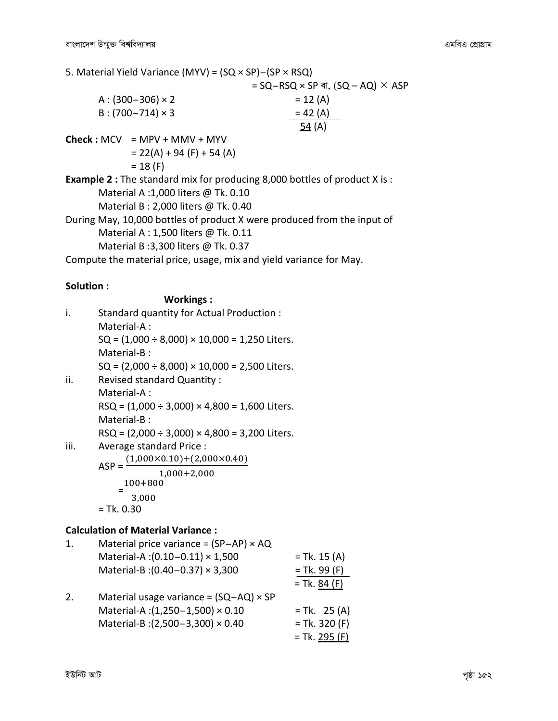5. Material Yield Variance (MYV) = (SQ × SP)-(SP × RSQ)  $=$  SQ-RSQ  $\times$  SP বা, (SQ – AQ)  $\times$  ASP  $A: (300-306) \times 2 = 12 (A)$ B : (700-714) × 3  $=$  42 (A)  $=$  54 (A)  $\frac{54}{4}$  (A)  $Check : MCV = MPV + MMV + MYV$  $= 22(A) + 94 (F) + 54 (A)$  $= 18 (F)$ Example 2 : The standard mix for producing 8,000 bottles of product X is : Material A :1,000 liters @ Tk. 0.10 Material B : 2,000 liters @ Tk. 0.40 During May, 10,000 bottles of product X were produced from the input of Material A : 1,500 liters @ Tk. 0.11 Material B :3,300 liters @ Tk. 0.37 Compute the material price, usage, mix and yield variance for May.

#### Solution :

#### Workings :

| i.  | Standard quantity for Actual Production:                |
|-----|---------------------------------------------------------|
|     | Material-A:                                             |
|     | $SQ = (1,000 \div 8,000) \times 10,000 = 1,250$ Liters. |
|     | Material-B:                                             |
|     | $SQ = (2,000 \div 8,000) \times 10,000 = 2,500$ Liters. |
| ii. | <b>Revised standard Quantity:</b>                       |
|     | Material-A:                                             |
|     | <u> 568 (1.000 : 3.000)</u> 1.000 ·                     |

 $\text{RSQ} = (1,000 \div 3,000) \times 4,800 = 1,600$  Liters. Material-B :

 $RSQ = (2,000 \div 3,000) \times 4,800 = 3,200$  Liters.

iii. Average standard Price :

$$
ASP = \frac{(1,000 \times 0.10) + (2,000 \times 0.40)}{1,000 + 2,000}
$$

$$
= \frac{100 + 800}{3,000}
$$

$$
= Tk. 0.30
$$

|    | <b>Calculation of Material Variance:</b>      |                 |
|----|-----------------------------------------------|-----------------|
| 1. | Material price variance = $(SP-AP) \times AQ$ |                 |
|    | Material-A: (0.10-0.11) × 1,500               | $=$ Tk. 15 (A)  |
|    | Material-B: (0.40-0.37) × 3,300               | $= Tk. 99 (F)$  |
|    |                                               | $= Tk. 84 (F)$  |
| 2. | Material usage variance = $(SQ-AQ) \times SP$ |                 |
|    | Material-A: (1,250-1,500) × 0.10              | $= Tk. 25 (A)$  |
|    | Material-B: (2,500-3,300) × 0.40              | $= Tk. 320 (F)$ |
|    |                                               | $= Tk. 295 (F)$ |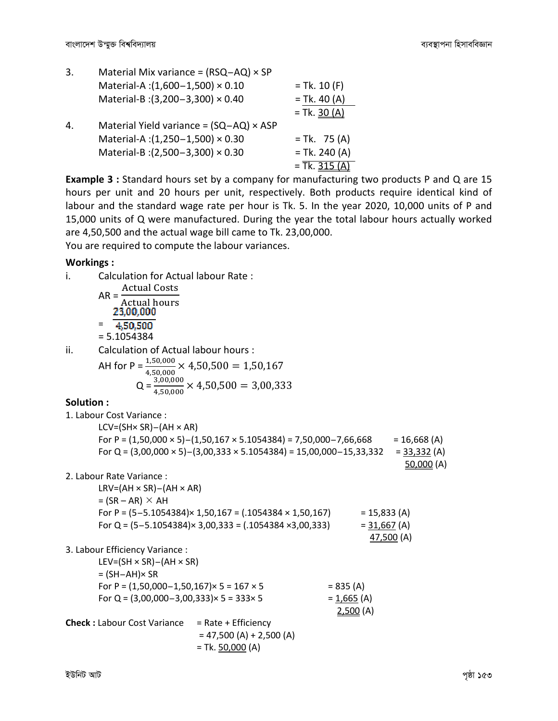| 3. | Material Mix variance = $(RSQ - AQ) \times SP$ |                 |
|----|------------------------------------------------|-----------------|
|    | Material-A: (1,600-1,500) × 0.10               | $=$ Tk. 10 (F)  |
|    | Material-B: (3,200-3,300) × 0.40               | $= Tk. 40 (A)$  |
|    |                                                | $= Tk. 30 (A)$  |
| 4. | Material Yield variance = $(SQ-AQ) \times ASP$ |                 |
|    | Material-A: (1,250-1,500) × 0.30               | $= Tk. 75 (A)$  |
|    | Material-B: (2,500-3,300) × 0.30               | $= Tk. 240 (A)$ |
|    |                                                | $=$ Tk. 315     |

Example 3 : Standard hours set by a company for manufacturing two products P and Q are 15 hours per unit and 20 hours per unit, respectively. Both products require identical kind of labour and the standard wage rate per hour is Tk. 5. In the year 2020, 10,000 units of P and 15,000 units of Q were manufactured. During the year the total labour hours actually worked are 4,50,500 and the actual wage bill came to Tk. 23,00,000. You are required to compute the labour variances.

#### Workings :

|                   | <b>VVUINIILS</b>                                      |                                                                                     |                |                     |
|-------------------|-------------------------------------------------------|-------------------------------------------------------------------------------------|----------------|---------------------|
| i.                | Calculation for Actual labour Rate:                   |                                                                                     |                |                     |
|                   | <b>Actual Costs</b>                                   |                                                                                     |                |                     |
|                   | $AR = -$<br><b>Actual hours</b>                       |                                                                                     |                |                     |
|                   | 23,00,000                                             |                                                                                     |                |                     |
|                   | $= 4,50,500$                                          |                                                                                     |                |                     |
|                   | $= 5.1054384$                                         |                                                                                     |                |                     |
| ii.               | Calculation of Actual labour hours :                  |                                                                                     |                |                     |
|                   |                                                       | AH for P = $\frac{1,50,000}{1,50,000}$ × 4,50,500 = 1,50,167                        |                |                     |
|                   |                                                       | $Q = \frac{3,00,000}{4,50,000} \times 4,50,500 = 3,00,333$                          |                |                     |
| <b>Solution :</b> |                                                       |                                                                                     |                |                     |
|                   | 1. Labour Cost Variance:                              |                                                                                     |                |                     |
|                   | $LCV = (SH \times SR) - (AH \times AR)$               |                                                                                     |                |                     |
|                   |                                                       | For P = $(1,50,000 \times 5) - (1,50,167 \times 5.1054384) = 7,50,000 - 7,66,668$   |                | $= 16,668 (A)$      |
|                   |                                                       | For Q = $(3,00,000 \times 5) - (3,00,333 \times 5.1054384) = 15,00,000 - 15,33,332$ |                | = <u>33,332</u> (A) |
|                   |                                                       |                                                                                     |                | 50,000 (A)          |
|                   | 2. Labour Rate Variance :                             |                                                                                     |                |                     |
|                   | $LRV = (AH \times SR) - (AH \times AR)$               |                                                                                     |                |                     |
|                   | $= (SR - AR) \times AH$                               |                                                                                     |                |                     |
|                   |                                                       | For P = $(5-5.1054384) \times 1,50,167 = (.1054384 \times 1,50,167)$ = 15,833 (A)   |                |                     |
|                   |                                                       | For Q = $(5-5.1054384) \times 3,00,333 = (.1054384 \times 3,00,333)$                | $= 31,667$ (A) |                     |
|                   |                                                       |                                                                                     |                | 47,500 (A)          |
|                   | 3. Labour Efficiency Variance :                       |                                                                                     |                |                     |
|                   | $LEV = (SH \times SR) - (AH \times SR)$               |                                                                                     |                |                     |
|                   | $= (SH-AH) \times SR$                                 |                                                                                     |                |                     |
|                   | For P = $(1,50,000-1,50,167) \times 5 = 167 \times 5$ |                                                                                     | $= 835 (A)$    |                     |
|                   | For Q = $(3,00,000-3,00,333) \times 5 = 333 \times 5$ |                                                                                     | $= 1,665 (A)$  |                     |
|                   |                                                       |                                                                                     | 2,500(A)       |                     |
|                   | Check : Labour Cost Variance = Rate + Efficiency      |                                                                                     |                |                     |
|                   |                                                       | $= 47,500 (A) + 2,500 (A)$                                                          |                |                     |
|                   |                                                       | $= Tk. 50,000 (A)$                                                                  |                |                     |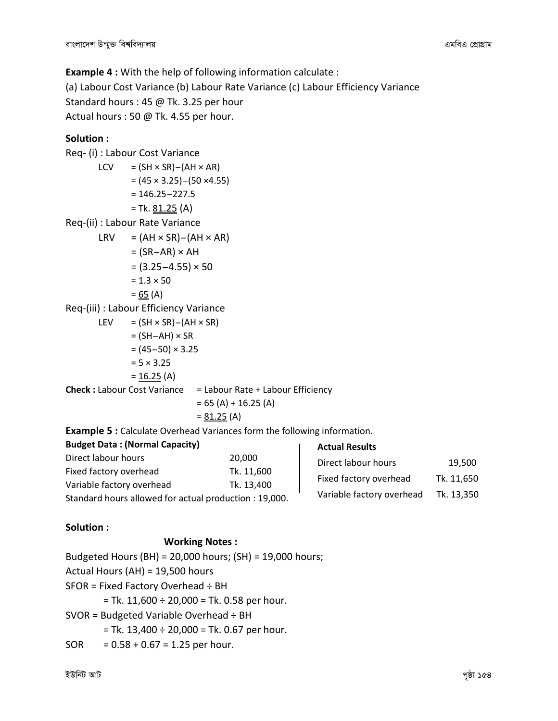Example 4 : With the help of following information calculate : (a) Labour Cost Variance (b) Labour Rate Variance (c) Labour Efficiency Variance Standard hours : 45 @ Tk. 3.25 per hour Actual hours : 50 @ Tk. 4.55 per hour.

#### Solution :

Req- (i) : Labour Cost Variance  $LCV = (SH \times SR) - (AH \times AR)$  $= (45 \times 3.25) - (50 \times 4.55)$  $= 146.25 - 227.5$ = Tk. <u>81.25</u> (A) Req-(ii) : Labour Rate Variance  $LRV = (AH \times SR) - (AH \times AR)$  $=$  (SR-AR)  $\times$  AH  $= (3.25 - 4.55) \times 50$  $= 1.3 \times 50$  $= 65 (A)$ Req-(iii) : Labour Efficiency Variance LEV =  $(SH \times SR) - (AH \times SR)$  $=$  (SH-AH)  $\times$  SR  $= (45-50) \times 3.25$  $= 5 \times 3.25$  $= 16.25$  (A) **Check :** Labour Cost Variance  $=$  Labour Rate + Labour Efficiency  $= 65$  (A) + 16.25 (A)  $= 81.25$  (A) Example 5 : Calculate Overhead Variances form the following information. Budget Data : (Normal Capacity) Direct labour hours 20,000 Actual Results

| Direct labour hours                                   | ZU,UUU     | Direct labour hours       | 19.500     |
|-------------------------------------------------------|------------|---------------------------|------------|
| Fixed factory overhead                                | Tk. 11,600 |                           |            |
| Variable factory overhead                             | Tk. 13,400 | Fixed factory overhead    | Tk. 11,650 |
| Standard hours allowed for actual production: 19,000. |            | Variable factory overhead | Tk. 13.350 |

#### Solution :

#### Working Notes :

Budgeted Hours (BH) = 20,000 hours; (SH) = 19,000 hours;

Actual Hours (AH) = 19,500 hours

SFOR = Fixed Factory Overhead ÷ BH

 $=$  Tk. 11,600  $\div$  20,000  $=$  Tk. 0.58 per hour.

SVOR = Budgeted Variable Overhead ÷ BH

 $=$  Tk. 13,400  $\div$  20,000  $=$  Tk. 0.67 per hour.

 $SOR = 0.58 + 0.67 = 1.25$  per hour.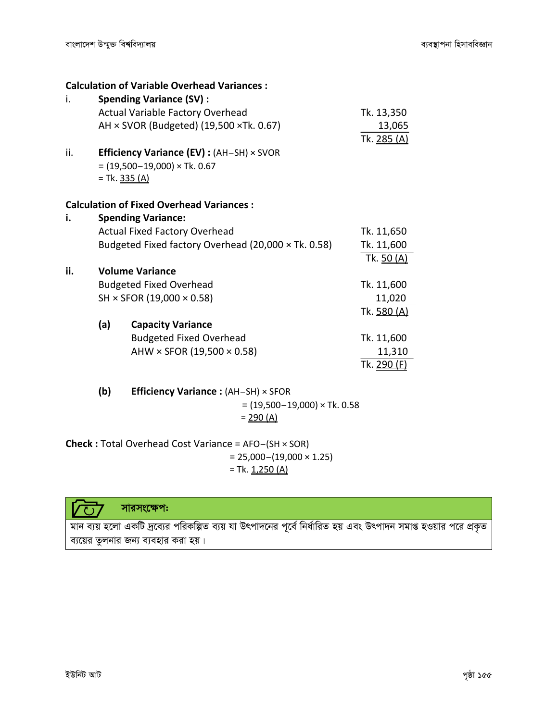|     |               | <b>Calculation of Variable Overhead Variances:</b>     |                    |
|-----|---------------|--------------------------------------------------------|--------------------|
| i.  |               | <b>Spending Variance (SV):</b>                         |                    |
|     |               | Actual Variable Factory Overhead                       | Tk. 13,350         |
|     |               | AH $\times$ SVOR (Budgeted) (19,500 $\times$ Tk. 0.67) | 13,065             |
|     |               |                                                        | Tk. 285 (A)        |
| ii. |               | Efficiency Variance (EV) : (AH-SH) × SVOR              |                    |
|     |               | $= (19,500 - 19,000) \times Tk. 0.67$                  |                    |
|     | = Tk. 335 (A) |                                                        |                    |
|     |               |                                                        |                    |
|     |               | <b>Calculation of Fixed Overhead Variances:</b>        |                    |
| i.  |               | <b>Spending Variance:</b>                              |                    |
|     |               | <b>Actual Fixed Factory Overhead</b>                   | Tk. 11,650         |
|     |               | Budgeted Fixed factory Overhead (20,000 x Tk. 0.58)    | Tk. 11,600         |
|     |               |                                                        | Tk. 50 (A)         |
| ii. |               | <b>Volume Variance</b>                                 |                    |
|     |               | <b>Budgeted Fixed Overhead</b>                         | Tk. 11,600         |
|     |               | SH × SFOR (19,000 × 0.58)                              | 11,020             |
|     |               |                                                        | Tk. <u>580 (A)</u> |
|     | (a)           | <b>Capacity Variance</b>                               |                    |
|     |               | <b>Budgeted Fixed Overhead</b>                         | Tk. 11,600         |
|     |               | AHW $\times$ SFOR (19,500 $\times$ 0.58)               | 11,310             |
|     |               |                                                        | Tk. 290 (F)        |
|     |               |                                                        |                    |
|     | (b)           | <b>Efficiency Variance:</b> (AH-SH) × SFOR             |                    |

 $= (19,500 - 19,000) \times Tk. 0.58$  $= 290 (A)$ 

Check: Total Overhead Cost Variance = AFO-(SH × SOR)  $= 25,000 - (19,000 \times 1.25)$ = Tk.  $1,250(A)$ 



মান ব্যয় হলো একটি দ্রব্যের পরিকল্পিত ব্যয় যা উৎপাদনের পূর্বে নির্ধারিত হয় এবং উৎপাদন সমাপ্ত হওয়ার পরে প্রকৃত ব্যয়ের তুলনার জন্য ব্যবহার করা হয়।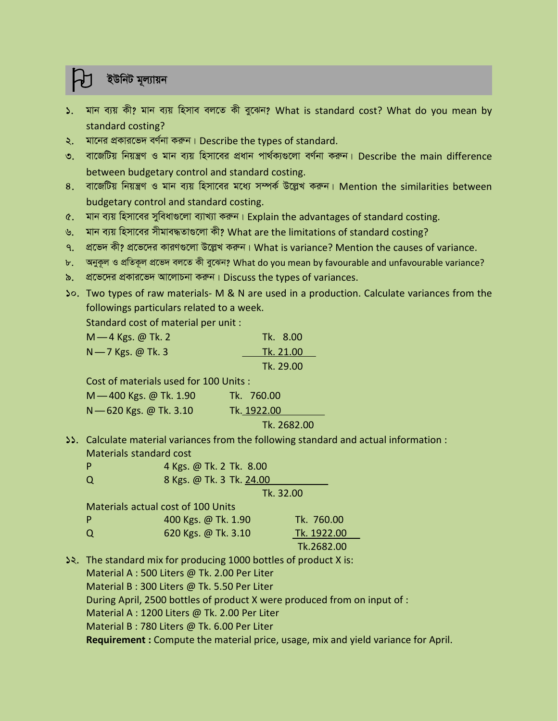## ইউনিট মূল্যায়ন

- ১. মান ব্যয় কী? মান ব্যয় হিসাব বলতে কী বুঝেন? What is standard cost? What do you mean by standard costing?
- ২. মানের প্রকারভেদ বর্ণনা করুন। Describe the types of standard.
- ৩. বাজেটিয় নিয়ন্ত্রণ ও মান ব্যয় হিসাবের প্রধান পার্থক্যগুলো বর্ণনা করুন। Describe the main difference between budgetary control and standard costing.
- $8.$  বাজেটিয় নিয়ন্ত্রণ ও মান ব্যয় হিসাবের মধ্যে সম্পর্ক উল্লেখ করুন। Mention the similarities between budgetary control and standard costing.
- ৫. মান ব্যয় হিসাবের সুবিধাগুলো ব্যাখ্যা করুন। Explain the advantages of standard costing.
- ৬. মান ব্যয় হিসাবের সীমাবদ্ধতাগুলো কী? What are the limitations of standard costing?
- ৭. প্রভেদ কী? প্রভেদের কারণগুলো উল্লেখ করুন। What is variance? Mention the causes of variance.
- b. অনুকূল ও প্ৰতিকূল প্ৰভেদ বলতে কী বুঝেন? What do you mean by favourable and unfavourable variance?
- ৯. প্রভেদের প্রকারভেদ আলোচনা করুন। Discuss the types of variances.
- 10. Two types of raw materials- M & N are used in a production. Calculate variances from the followings particulars related to a week.

| followings particulars related to a week. |           |
|-------------------------------------------|-----------|
| Standard cost of material per unit:       |           |
| $M - 4$ Kgs. @ Tk. 2                      | Tk. 8.00  |
| $N$ - 7 Kgs. @ Tk. 3                      | Tk. 21.00 |
|                                           | Tk. 29.00 |

|                                        | TR. 29.00   |
|----------------------------------------|-------------|
| Cost of materials used for 100 Units : |             |
| M - 400 Kgs. @ Tk. 1.90                | Tk. 760.00  |
| N -620 Kgs. @ Tk. 3.10                 | Tk. 1922.00 |
|                                        |             |

#### Tk. 2682.00

11. Calculate material variances from the following standard and actual information : Materials standard cost

| - P | 4 Kgs. @ Tk. 2 Tk. 8.00  |
|-----|--------------------------|
| Q   | 8 Kgs. @ Tk. 3 Tk. 24.00 |

#### Tk. 32.00

|   | Materials actual cost of 100 Units |             |
|---|------------------------------------|-------------|
| P | 400 Kgs. @ Tk. 1.90                | Tk. 760.00  |
| Q | 620 Kgs. @ Tk. 3.10                | Tk. 1922.00 |
|   |                                    |             |

#### Tk.2682.00

12. The standard mix for producing 1000 bottles of product X is: Material A : 500 Liters @ Tk. 2.00 Per Liter Material B : 300 Liters @ Tk. 5.50 Per Liter During April, 2500 bottles of product X were produced from on input of : Material A : 1200 Liters @ Tk. 2.00 Per Liter Material B : 780 Liters @ Tk. 6.00 Per Liter

Requirement : Compute the material price, usage, mix and yield variance for April.